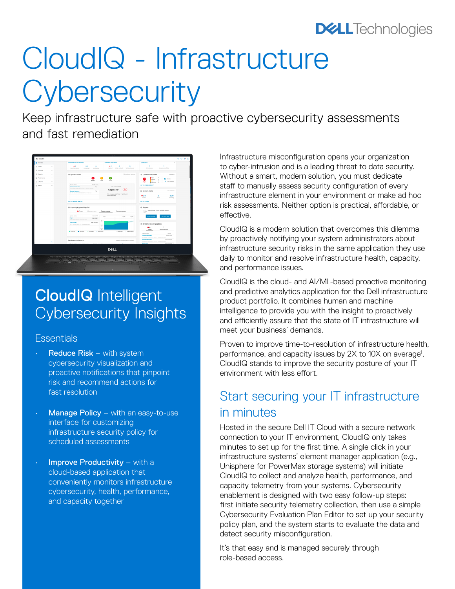# **DELL**Technologies

# CloudIQ - Infrastructure **Cybersecurity**

Keep infrastructure safe with proactive cybersecurity assessments and fast remediation



# CloudIQ Intelligent Cybersecurity Insights

#### **Essentials**

- **Reduce Risk** with system cybersecurity visualization and proactive notifications that pinpoint risk and recommend actions for fast resolution
- Manage Policy with an easy-to-use interface for customizing infrastructure security policy for scheduled assessments
- Improve Productivity with a cloud-based application that conveniently monitors infrastructure cybersecurity, health, performance, and capacity together

Infrastructure misconfiguration opens your organization to cyber-intrusion and is a leading threat to data security. Without a smart, modern solution, you must dedicate staff to manually assess security configuration of every infrastructure element in your environment or make ad hoc risk assessments. Neither option is practical, affordable, or effective.

CloudIQ is a modern solution that overcomes this dilemma by proactively notifying your system administrators about infrastructure security risks in the same application they use daily to monitor and resolve infrastructure health, capacity, and performance issues.

CloudIQ is the cloud- and AI/ML-based proactive monitoring and predictive analytics application for the Dell infrastructure product portfolio. It combines human and machine intelligence to provide you with the insight to proactively and efficiently assure that the state of IT infrastructure will meet your business' demands.

Proven to improve time-to-resolution of infrastructure health, performance, and capacity issues by 2X to 10X on average<sup>1</sup>, CloudIQ stands to improve the security posture of your IT environment with less effort.

### Start securing your IT infrastructure in minutes

Hosted in the secure Dell IT Cloud with a secure network connection to your IT environment, CloudIQ only takes minutes to set up for the first time. A single click in your infrastructure systems' element manager application (e.g., Unisphere for PowerMax storage systems) will initiate CloudIQ to collect and analyze health, performance, and capacity telemetry from your systems. Cybersecurity enablement is designed with two easy follow-up steps: first initiate security telemetry collection, then use a simple Cybersecurity Evaluation Plan Editor to set up your security policy plan, and the system starts to evaluate the data and detect security misconfiguration.

It's that easy and is managed securely through role-based access.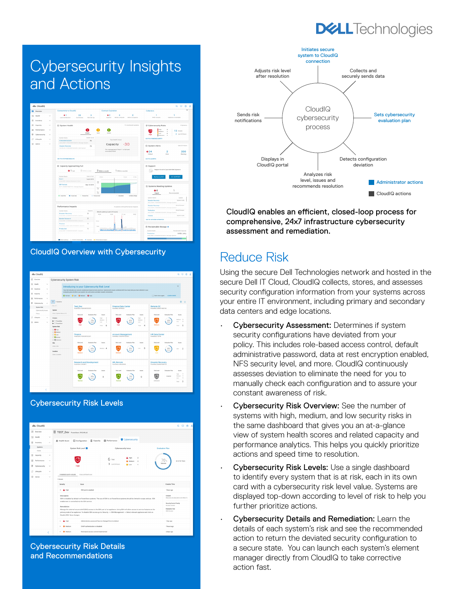## **DELL**Technologies

# Cybersecurity Insights and Actions



CloudIQ Overview with Cybersecurity

| dls CloudIQ                                           |                                                                                                                                                                                                                                                |                                                            | $Q \Box Q$                                                 |
|-------------------------------------------------------|------------------------------------------------------------------------------------------------------------------------------------------------------------------------------------------------------------------------------------------------|------------------------------------------------------------|------------------------------------------------------------|
| <b>SB</b> Overview                                    | Cybersecurity System Risk                                                                                                                                                                                                                      |                                                            |                                                            |
| FG Health<br>$\sim$                                   | Introducing to your Cybersecurity Risk Level                                                                                                                                                                                                   |                                                            | ×                                                          |
| 8<br>Inventory<br>$\sim$                              | Your risk indicates your security weaknesses based on best practices. Cybersecurity issues combined with how many tests you have selected in your<br>evaluation plan will affect your sustem risk until actions are taken towards remediation. |                                                            |                                                            |
| El Capacity<br>$\sim$                                 | <b>B</b> Normal <b>B</b> Low <b>B</b> Medium <b>B</b> High                                                                                                                                                                                     |                                                            | Fill Don't show again<br>LEARN MORE                        |
| 田<br>Performance<br>$\sim$<br>Cybersecurity<br>$\sim$ | V systems                                                                                                                                                                                                                                      |                                                            | 88 凸                                                       |
| System Risk                                           | Clear All<br><b>Test Dev</b><br>PowerStore   FONO40072020F3                                                                                                                                                                                    | <b>Finance Data Center</b><br>PowerMax1RV429L63            | Remote DC<br>PowerMax150000174657100                       |
| Cybersecurity Issues<br>Policy                        | <b>System</b><br>Enter a System Mame or ID                                                                                                                                                                                                     |                                                            |                                                            |
| C Lifecycle<br>$\sim$                                 | <b>Risk Level</b><br>Evaluation Plan<br>Issues<br>Product<br>High<br>$\rightarrow$                                                                                                                                                             | Risk Level<br>Evaluation Plan<br>Issues<br>16ph<br>$\circ$ | <b>Risk Level</b><br>Evaluation Plan<br>Issues<br>Medium 3 |
| o.<br>Admin<br>$\sim$                                 | Medium 3<br>70%<br><b>b</b> C Provider<br>Low<br>٠<br>telete<br>$\blacktriangleright$ (1) PowerStore                                                                                                                                           | Medium 1<br>60%<br>×<br><b>Low</b>                         | 600<br>$\overline{2}$<br>Low<br>Medium                     |
|                                                       | 6<br>Total<br><b>System Risk</b><br>□ Brish                                                                                                                                                                                                    | $\overline{A}$<br>Total                                    | 5<br>Total                                                 |
|                                                       | <b>D</b> Mellum<br>Finance<br><b>CLIBROAD</b><br>PowerStore   FONO40972020F1<br>□ B Normal                                                                                                                                                     | <b>Account Management</b><br>PowerMax   FOND 40972020F2    | <b>HR Data Center</b><br>PowerStore   9514B                |
|                                                       | □ B transen<br><b>Disk Level</b><br><b>Evaluation Plan</b><br><b>boxes</b><br>Site                                                                                                                                                             | <b>Disk Level</b><br><b>Pushadon Plan</b><br><b>boxes</b>  | <b>Disk Level</b><br>Evaluation Plan<br>Issues             |
|                                                       | Enter a Site<br>60%<br>Motion &                                                                                                                                                                                                                | 5<br>30%<br>Low                                            | 80%<br>$\overline{2}$<br>Law                               |
|                                                       | Lecetion<br><b>Medium</b><br>Enter a Location                                                                                                                                                                                                  | <b>Medium</b>                                              | Low                                                        |
|                                                       | <b>Research and Development</b><br>PowerStow   CRKJBC1                                                                                                                                                                                         | <b>HR_Remote</b><br>Foxedbay (MULTWOR)                     | <b>Disaster Recovery</b><br>PowerMax1ELMISLFAGEF123        |
|                                                       | Evaluation Plan<br>Rick Level<br>Issues                                                                                                                                                                                                        | RokLevel<br>Evaluation Plan<br>kover                       | Risk Level<br>Erakation Plan<br>Insure                     |
|                                                       | 90%<br>$\Omega$                                                                                                                                                                                                                                | 701<br>$\circ$                                             | High<br>٠<br>Medium<br>×<br>Doubled<br>Low<br>٠            |
|                                                       | Normal                                                                                                                                                                                                                                         | Normal                                                     | Unknown<br>$\overline{3}$<br>Total                         |
| K                                                     |                                                                                                                                                                                                                                                |                                                            |                                                            |

#### Cybersecurity Risk Levels



Cybersecurity Risk Details and Recommendations



CloudIQ enables an efficient, closed-loop process for comprehensive, 24x7 infrastructure cybersecurity assessment and remediation.

### Reduce Risk

Using the secure Dell Technologies network and hosted in the secure Dell IT Cloud, CloudIQ collects, stores, and assesses security configuration information from your systems across your entire IT environment, including primary and secondary data centers and edge locations.

- Cybersecurity Assessment: Determines if system security configurations have deviated from your policy. This includes role-based access control, default administrative password, data at rest encryption enabled, NFS security level, and more. CloudIQ continuously assesses deviation to eliminate the need for you to manually check each configuration and to assure your constant awareness of risk.
- **Cybersecurity Risk Overview: See the number of** systems with high, medium, and low security risks in the same dashboard that gives you an at-a-glance view of system health scores and related capacity and performance analytics. This helps you quickly prioritize actions and speed time to resolution.
- Cybersecurity Risk Levels: Use a single dashboard to identify every system that is at risk, each in its own card with a cybersecurity risk level value. Systems are displayed top-down according to level of risk to help you further prioritize actions.
- Cybersecurity Details and Remediation: Learn the details of each system's risk and see the recommended action to return the deviated security configuration to a secure state. You can launch each system's element manager directly from CloudIQ to take corrective action fast.